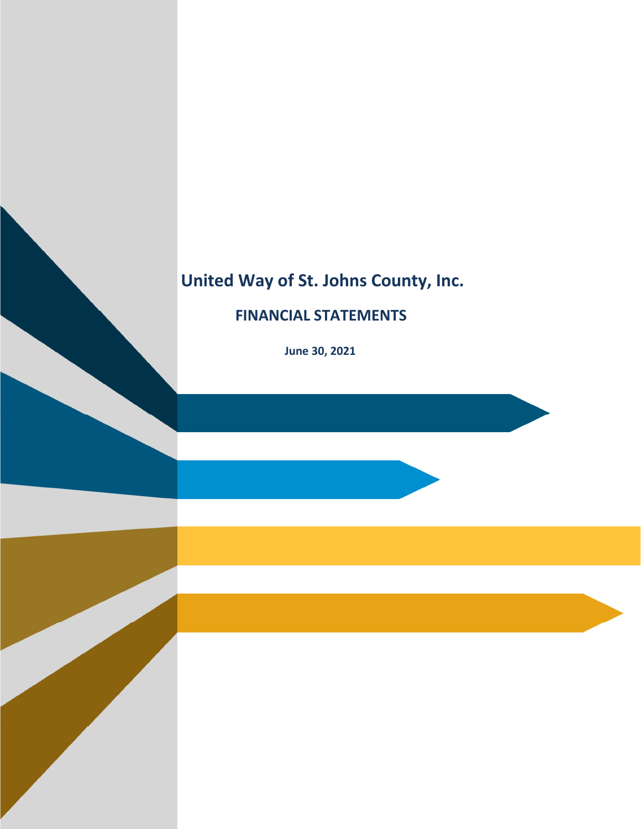# **United Way of St. Johns County, Inc.**

# **FINANCIAL STATEMENTS**

 **June 30, 2021**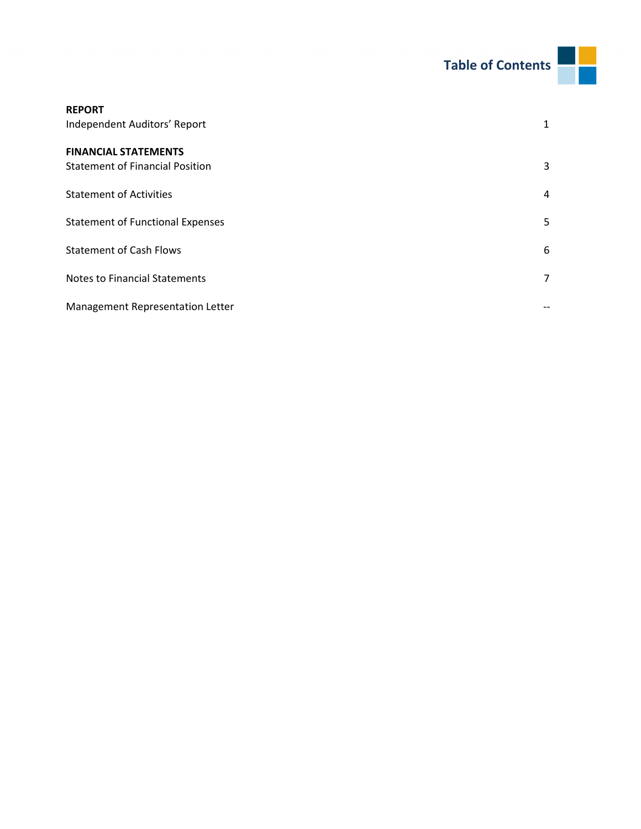

| <b>REPORT</b>                           |   |
|-----------------------------------------|---|
| Independent Auditors' Report            | 1 |
| <b>FINANCIAL STATEMENTS</b>             |   |
| <b>Statement of Financial Position</b>  | 3 |
| <b>Statement of Activities</b>          | 4 |
| <b>Statement of Functional Expenses</b> | 5 |
| <b>Statement of Cash Flows</b>          | 6 |
| <b>Notes to Financial Statements</b>    | 7 |
| Management Representation Letter        |   |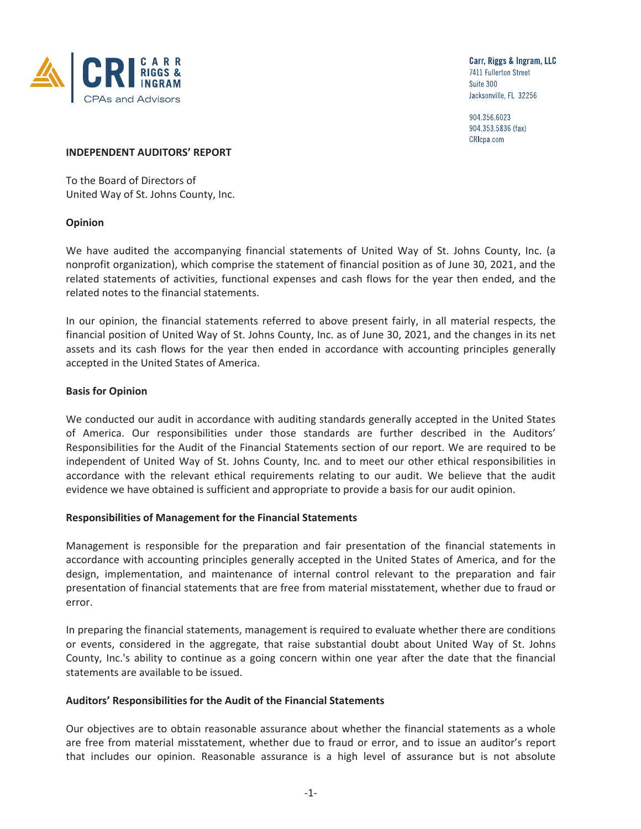

Carr, Riggs & Ingram, LLC 7411 Fullerton Street Suite 300 Jacksonville, FL 32256

904.356.6023 904.353.5836 (fax) CRIcpa.com

#### **INDEPENDENT AUDITORS' REPORT**

To the Board of Directors of United Way of St. Johns County, Inc.

#### **Opinion**

We have audited the accompanying financial statements of United Way of St. Johns County, Inc. (a nonprofit organization), which comprise the statement of financial position as of June 30, 2021, and the related statements of activities, functional expenses and cash flows for the year then ended, and the related notes to the financial statements.

In our opinion, the financial statements referred to above present fairly, in all material respects, the financial position of United Way of St. Johns County, Inc. as of June 30, 2021, and the changes in its net assets and its cash flows for the year then ended in accordance with accounting principles generally accepted in the United States of America.

#### **Basis for Opinion**

We conducted our audit in accordance with auditing standards generally accepted in the United States of America. Our responsibilities under those standards are further described in the Auditors' Responsibilities for the Audit of the Financial Statements section of our report. We are required to be independent of United Way of St. Johns County, Inc. and to meet our other ethical responsibilities in accordance with the relevant ethical requirements relating to our audit. We believe that the audit evidence we have obtained is sufficient and appropriate to provide a basis for our audit opinion.

#### **Responsibilities of Management for the Financial Statements**

Management is responsible for the preparation and fair presentation of the financial statements in accordance with accounting principles generally accepted in the United States of America, and for the design, implementation, and maintenance of internal control relevant to the preparation and fair presentation of financial statements that are free from material misstatement, whether due to fraud or error.

In preparing the financial statements, management is required to evaluate whether there are conditions or events, considered in the aggregate, that raise substantial doubt about United Way of St. Johns County, Inc.'s ability to continue as a going concern within one year after the date that the financial statements are available to be issued.

#### **Auditors' Responsibilities for the Audit of the Financial Statements**

Our objectives are to obtain reasonable assurance about whether the financial statements as a whole are free from material misstatement, whether due to fraud or error, and to issue an auditor's report that includes our opinion. Reasonable assurance is a high level of assurance but is not absolute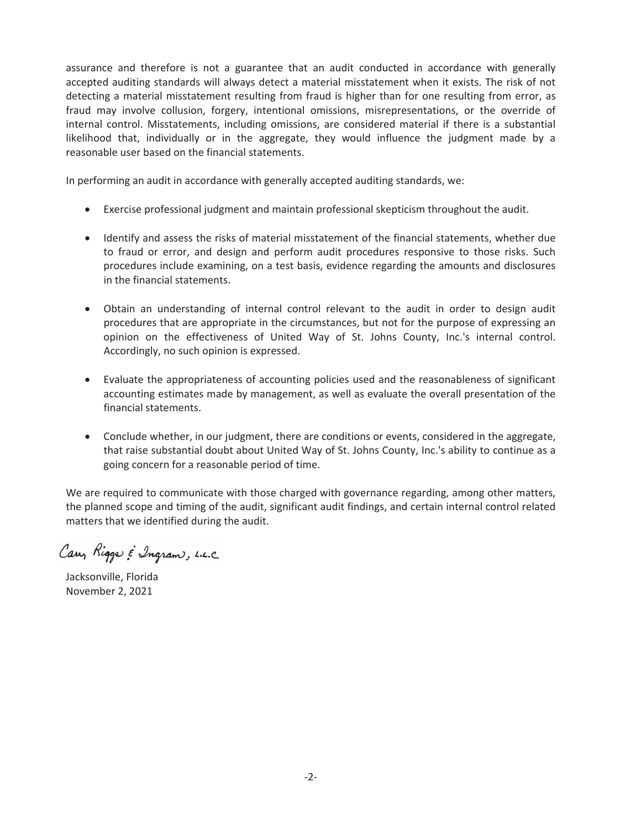assurance and therefore is not a guarantee that an audit conducted in accordance with generally accepted auditing standards will always detect a material misstatement when it exists. The risk of not detecting a material misstatement resulting from fraud is higher than for one resulting from error, as fraud may involve collusion, forgery, intentional omissions, misrepresentations, or the override of internal control. Misstatements, including omissions, are considered material if there is a substantial likelihood that, individually or in the aggregate, they would influence the judgment made by a reasonable user based on the financial statements.

In performing an audit in accordance with generally accepted auditing standards, we:

- Exercise professional judgment and maintain professional skepticism throughout the audit.
- Identify and assess the risks of material misstatement of the financial statements, whether due to fraud or error, and design and perform audit procedures responsive to those risks. Such procedures include examining, on a test basis, evidence regarding the amounts and disclosures in the financial statements.
- Obtain an understanding of internal control relevant to the audit in order to design audit procedures that are appropriate in the circumstances, but not for the purpose of expressing an opinion on the effectiveness of United Way of St. Johns County, Inc.'s internal control. Accordingly, no such opinion is expressed.
- Evaluate the appropriateness of accounting policies used and the reasonableness of significant accounting estimates made by management, as well as evaluate the overall presentation of the financial statements.
- Conclude whether, in our judgment, there are conditions or events, considered in the aggregate, that raise substantial doubt about United Way of St. Johns County, Inc.'s ability to continue as a going concern for a reasonable period of time.

We are required to communicate with those charged with governance regarding, among other matters, the planned scope and timing of the audit, significant audit findings, and certain internal control related matters that we identified during the audit.

Carry Riggs & Ingram, L.L.C.

Jacksonville, Florida November 2, 2021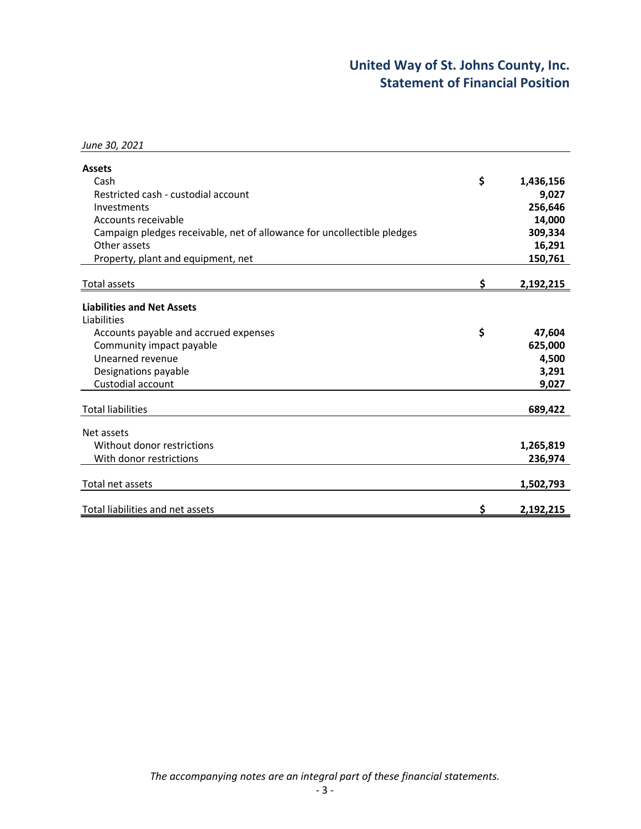# **United Way of St. Johns County, Inc. Statement of Financial Position**

| June 30, 2021                                                           |    |           |
|-------------------------------------------------------------------------|----|-----------|
| <b>Assets</b>                                                           |    |           |
| Cash                                                                    | \$ | 1,436,156 |
| Restricted cash - custodial account                                     |    | 9,027     |
| Investments                                                             |    | 256,646   |
| Accounts receivable                                                     |    | 14,000    |
| Campaign pledges receivable, net of allowance for uncollectible pledges |    | 309,334   |
| Other assets                                                            |    | 16,291    |
| Property, plant and equipment, net                                      |    | 150,761   |
|                                                                         |    |           |
| Total assets                                                            | s  | 2,192,215 |
| <b>Liabilities and Net Assets</b>                                       |    |           |
| Liabilities                                                             |    |           |
| Accounts payable and accrued expenses                                   | \$ | 47,604    |
| Community impact payable                                                |    | 625,000   |
| Unearned revenue                                                        |    | 4,500     |
| Designations payable                                                    |    | 3,291     |
| Custodial account                                                       |    | 9,027     |
|                                                                         |    |           |
| <b>Total liabilities</b>                                                |    | 689,422   |
| Net assets                                                              |    |           |
| Without donor restrictions                                              |    | 1,265,819 |
| With donor restrictions                                                 |    | 236,974   |
|                                                                         |    |           |
| Total net assets                                                        |    | 1,502,793 |
|                                                                         |    |           |
| Total liabilities and net assets                                        | Ś  | 2,192,215 |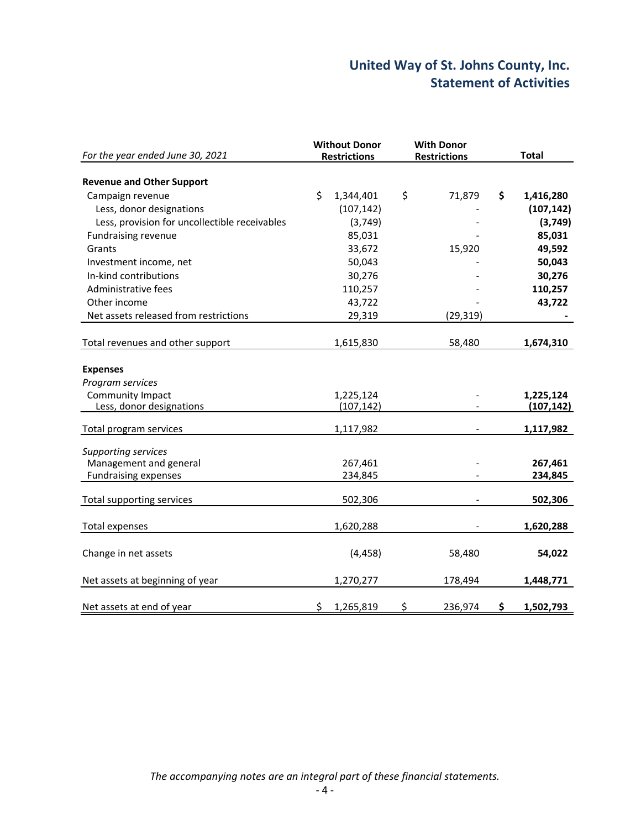# **United Way of St. Johns County, Inc. Statement of Activities**

| For the year ended June 30, 2021                     | <b>Without Donor</b><br><b>Restrictions</b> |    | <b>With Donor</b><br><b>Restrictions</b> |    | <b>Total</b> |  |
|------------------------------------------------------|---------------------------------------------|----|------------------------------------------|----|--------------|--|
| <b>Revenue and Other Support</b>                     |                                             |    |                                          |    |              |  |
| Campaign revenue                                     | \$<br>1,344,401                             | \$ | 71,879                                   | \$ | 1,416,280    |  |
| Less, donor designations                             | (107, 142)                                  |    |                                          |    | (107, 142)   |  |
| Less, provision for uncollectible receivables        | (3,749)                                     |    |                                          |    | (3,749)      |  |
| <b>Fundraising revenue</b>                           | 85,031                                      |    |                                          |    | 85,031       |  |
| Grants                                               | 33,672                                      |    | 15,920                                   |    | 49,592       |  |
| Investment income, net                               | 50,043                                      |    |                                          |    | 50,043       |  |
| In-kind contributions                                | 30,276                                      |    |                                          |    | 30,276       |  |
| Administrative fees                                  |                                             |    |                                          |    | 110,257      |  |
|                                                      | 110,257                                     |    |                                          |    |              |  |
| Other income                                         | 43,722                                      |    |                                          |    | 43,722       |  |
| Net assets released from restrictions                | 29,319                                      |    | (29, 319)                                |    |              |  |
| Total revenues and other support                     | 1,615,830                                   |    | 58,480                                   |    | 1,674,310    |  |
| <b>Expenses</b><br>Program services                  |                                             |    |                                          |    |              |  |
| Community Impact                                     | 1,225,124                                   |    |                                          |    | 1,225,124    |  |
| Less, donor designations                             | (107, 142)                                  |    |                                          |    | (107, 142)   |  |
| Total program services                               | 1,117,982                                   |    |                                          |    | 1,117,982    |  |
| <b>Supporting services</b><br>Management and general | 267,461                                     |    |                                          |    | 267,461      |  |
| <b>Fundraising expenses</b>                          | 234,845                                     |    |                                          |    | 234,845      |  |
| Total supporting services                            | 502,306                                     |    |                                          |    | 502,306      |  |
| <b>Total expenses</b>                                | 1,620,288                                   |    |                                          |    | 1,620,288    |  |
| Change in net assets                                 | (4, 458)                                    |    | 58,480                                   |    | 54,022       |  |
| Net assets at beginning of year                      | 1,270,277                                   |    | 178,494                                  |    | 1,448,771    |  |
| Net assets at end of year                            | \$<br>1,265,819                             | \$ | 236,974                                  | \$ | 1,502,793    |  |

*The accompanying notes are an integral part of these financial statements.*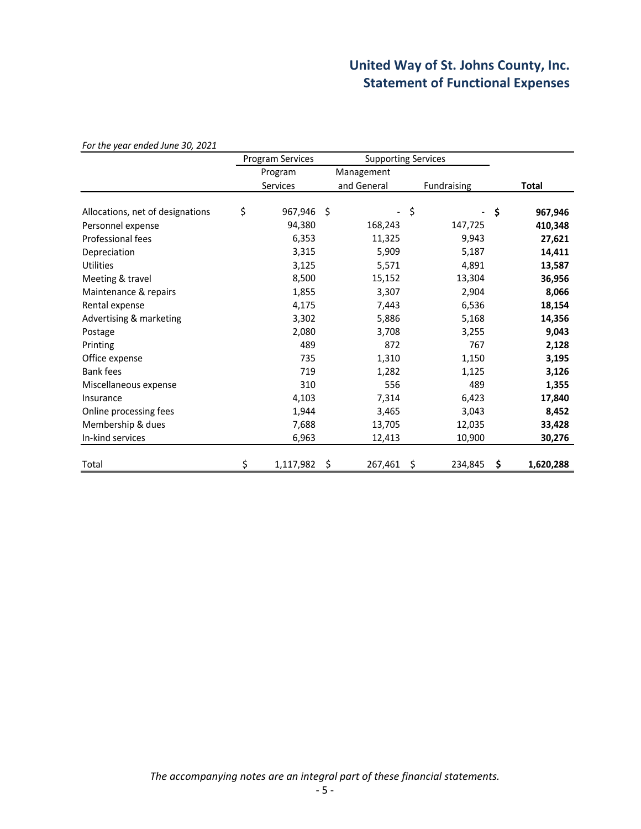# **United Way of St. Johns County, Inc. Statement of Functional Expenses**

*For the year ended June 30, 2021*

|                                  | Program Services |    | <b>Supporting Services</b> |             |           |
|----------------------------------|------------------|----|----------------------------|-------------|-----------|
|                                  | Program          |    | Management                 |             |           |
|                                  | Services         |    | and General                | Fundraising | Total     |
|                                  |                  | Ŝ. |                            | \$          | \$        |
| Allocations, net of designations | \$<br>967,946    |    |                            |             | 967,946   |
| Personnel expense                | 94,380           |    | 168,243                    | 147,725     | 410,348   |
| Professional fees                | 6,353            |    | 11,325                     | 9,943       | 27,621    |
| Depreciation                     | 3,315            |    | 5,909                      | 5,187       | 14,411    |
| <b>Utilities</b>                 | 3,125            |    | 5,571                      | 4,891       | 13,587    |
| Meeting & travel                 | 8,500            |    | 15,152                     | 13,304      | 36,956    |
| Maintenance & repairs            | 1,855            |    | 3,307                      | 2,904       | 8,066     |
| Rental expense                   | 4,175            |    | 7,443                      | 6,536       | 18,154    |
| Advertising & marketing          | 3,302            |    | 5,886                      | 5,168       | 14,356    |
| Postage                          | 2,080            |    | 3,708                      | 3,255       | 9,043     |
| Printing                         | 489              |    | 872                        | 767         | 2,128     |
| Office expense                   | 735              |    | 1,310                      | 1,150       | 3,195     |
| <b>Bank fees</b>                 | 719              |    | 1,282                      | 1,125       | 3,126     |
| Miscellaneous expense            | 310              |    | 556                        | 489         | 1,355     |
| Insurance                        | 4,103            |    | 7,314                      | 6,423       | 17,840    |
| Online processing fees           | 1,944            |    | 3,465                      | 3,043       | 8,452     |
| Membership & dues                | 7,688            |    | 13,705                     | 12,035      | 33,428    |
| In-kind services                 | 6,963            |    | 12,413                     | 10,900      | 30,276    |
|                                  |                  |    |                            |             |           |
| Total                            | 1,117,982        |    | 267,461                    | 234,845     | 1,620,288 |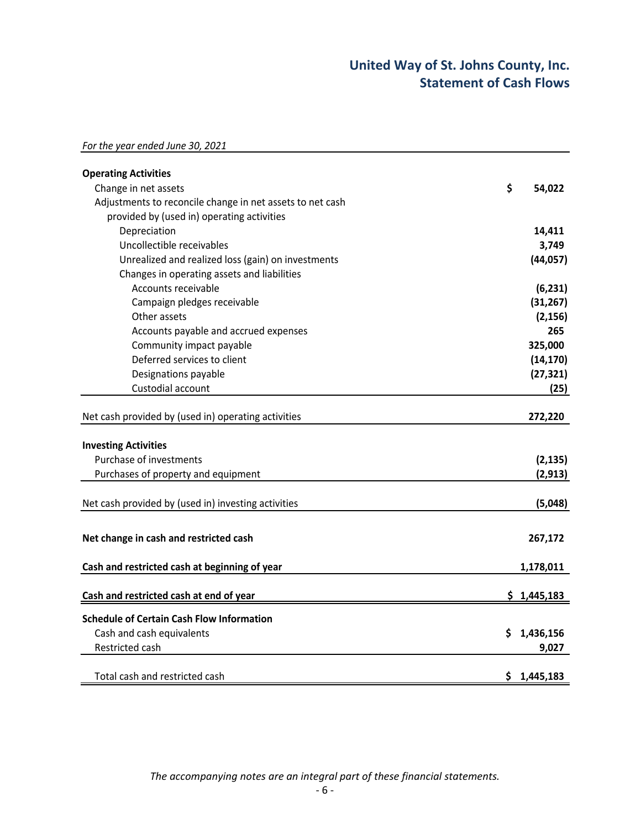# **United Way of St. Johns County, Inc. Statement of Cash Flows**

| For the year ended June 30, 2021 |
|----------------------------------|
|----------------------------------|

| <b>Operating Activities</b>                               |                 |
|-----------------------------------------------------------|-----------------|
| Change in net assets                                      | \$<br>54,022    |
| Adjustments to reconcile change in net assets to net cash |                 |
| provided by (used in) operating activities                |                 |
| Depreciation                                              | 14,411          |
| Uncollectible receivables                                 | 3,749           |
| Unrealized and realized loss (gain) on investments        | (44, 057)       |
| Changes in operating assets and liabilities               |                 |
| Accounts receivable                                       | (6, 231)        |
| Campaign pledges receivable                               | (31, 267)       |
| Other assets                                              | (2, 156)        |
| Accounts payable and accrued expenses                     | 265             |
| Community impact payable                                  | 325,000         |
| Deferred services to client                               | (14, 170)       |
| Designations payable                                      | (27, 321)       |
| Custodial account                                         | (25)            |
| Net cash provided by (used in) operating activities       | 272,220         |
| <b>Investing Activities</b>                               |                 |
| Purchase of investments                                   | (2, 135)        |
| Purchases of property and equipment                       | (2, 913)        |
| Net cash provided by (used in) investing activities       | (5,048)         |
| Net change in cash and restricted cash                    | 267,172         |
| Cash and restricted cash at beginning of year             | 1,178,011       |
| Cash and restricted cash at end of year                   | \$1,445,183     |
| <b>Schedule of Certain Cash Flow Information</b>          |                 |
| Cash and cash equivalents                                 | \$<br>1,436,156 |
| Restricted cash                                           | 9,027           |
| Total cash and restricted cash                            | \$1,445,183     |

*The accompanying notes are an integral part of these financial statements.*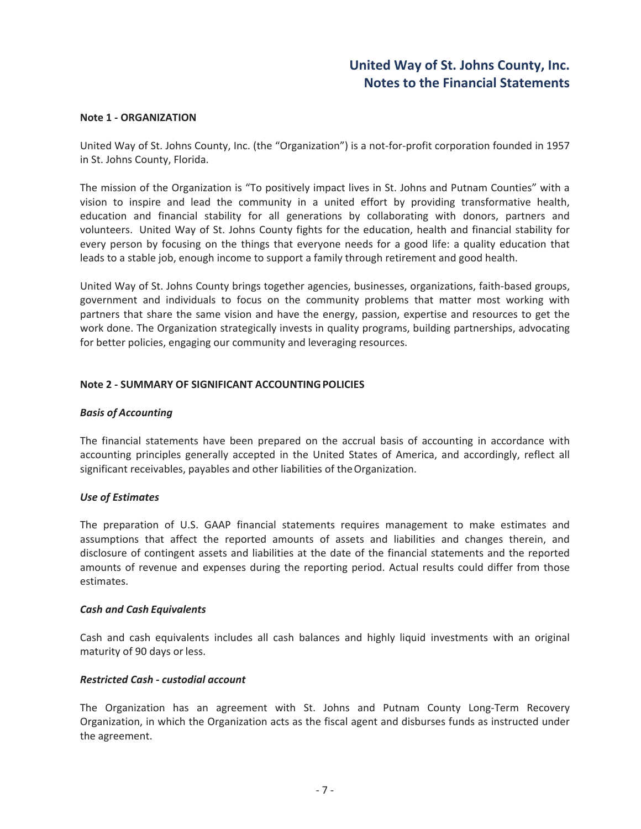#### **Note 1 - ORGANIZATION**

United Way of St. Johns County, Inc. (the "Organization") is a not-for-profit corporation founded in 1957 in St. Johns County, Florida.

The mission of the Organization is "To positively impact lives in St. Johns and Putnam Counties" with a vision to inspire and lead the community in a united effort by providing transformative health, education and financial stability for all generations by collaborating with donors, partners and volunteers. United Way of St. Johns County fights for the education, health and financial stability for every person by focusing on the things that everyone needs for a good life: a quality education that leads to a stable job, enough income to support a family through retirement and good health.

United Way of St. Johns County brings together agencies, businesses, organizations, faith-based groups, government and individuals to focus on the community problems that matter most working with partners that share the same vision and have the energy, passion, expertise and resources to get the work done. The Organization strategically invests in quality programs, building partnerships, advocating for better policies, engaging our community and leveraging resources.

#### **Note 2ͲSUMMARY OF SIGNIFICANT ACCOUNTINGPOLICIES**

#### *Basis of Accounting*

The financial statements have been prepared on the accrual basis of accounting in accordance with accounting principles generally accepted in the United States of America, and accordingly, reflect all significant receivables, payables and other liabilities of the Organization.

#### *Use of Estimates*

The preparation of U.S. GAAP financial statements requires management to make estimates and assumptions that affect the reported amounts of assets and liabilities and changes therein, and disclosure of contingent assets and liabilities at the date of the financial statements and the reported amounts of revenue and expenses during the reporting period. Actual results could differ from those estimates.

#### *Cash and Cash Equivalents*

Cash and cash equivalents includes all cash balances and highly liquid investments with an original maturity of 90 days or less.

#### *Restricted CashͲcustodial account*

The Organization has an agreement with St. Johns and Putnam County Long-Term Recovery Organization, in which the Organization acts as the fiscal agent and disburses funds as instructed under the agreement.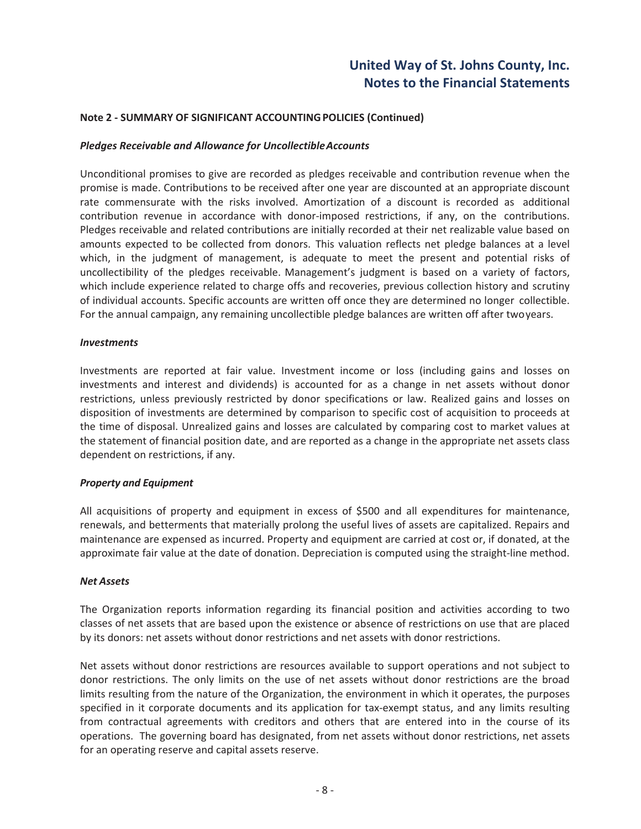#### **Note 2ͲSUMMARY OF SIGNIFICANT ACCOUNTINGPOLICIES (Continued)**

#### *Pledges Receivable and Allowance for UncollectibleAccounts*

Unconditional promises to give are recorded as pledges receivable and contribution revenue when the promise is made. Contributions to be received after one year are discounted at an appropriate discount rate commensurate with the risks involved. Amortization of a discount is recorded as additional contribution revenue in accordance with donor-imposed restrictions, if any, on the contributions. Pledges receivable and related contributions are initially recorded at their net realizable value based on amounts expected to be collected from donors. This valuation reflects net pledge balances at a level which, in the judgment of management, is adequate to meet the present and potential risks of uncollectibility of the pledges receivable. Management's judgment is based on a variety of factors, which include experience related to charge offs and recoveries, previous collection history and scrutiny of individual accounts. Specific accounts are written off once they are determined no longer collectible. For the annual campaign, any remaining uncollectible pledge balances are written off after twoyears.

#### *Investments*

Investments are reported at fair value. Investment income or loss (including gains and losses on investments and interest and dividends) is accounted for as a change in net assets without donor restrictions, unless previously restricted by donor specifications or law. Realized gains and losses on disposition of investments are determined by comparison to specific cost of acquisition to proceeds at the time of disposal. Unrealized gains and losses are calculated by comparing cost to market values at the statement of financial position date, and are reported as a change in the appropriate net assets class dependent on restrictions, if any.

#### *Property and Equipment*

All acquisitions of property and equipment in excess of \$500 and all expenditures for maintenance, renewals, and betterments that materially prolong the useful lives of assets are capitalized. Repairs and maintenance are expensed as incurred. Property and equipment are carried at cost or, if donated, at the approximate fair value at the date of donation. Depreciation is computed using the straight-line method.

#### *Net Assets*

The Organization reports information regarding its financial position and activities according to two classes of net assets that are based upon the existence or absence of restrictions on use that are placed by its donors: net assets without donor restrictions and net assets with donor restrictions.

Net assets without donor restrictions are resources available to support operations and not subject to donor restrictions. The only limits on the use of net assets without donor restrictions are the broad limits resulting from the nature of the Organization, the environment in which it operates, the purposes specified in it corporate documents and its application for tax-exempt status, and any limits resulting from contractual agreements with creditors and others that are entered into in the course of its operations. The governing board has designated, from net assets without donor restrictions, net assets for an operating reserve and capital assets reserve.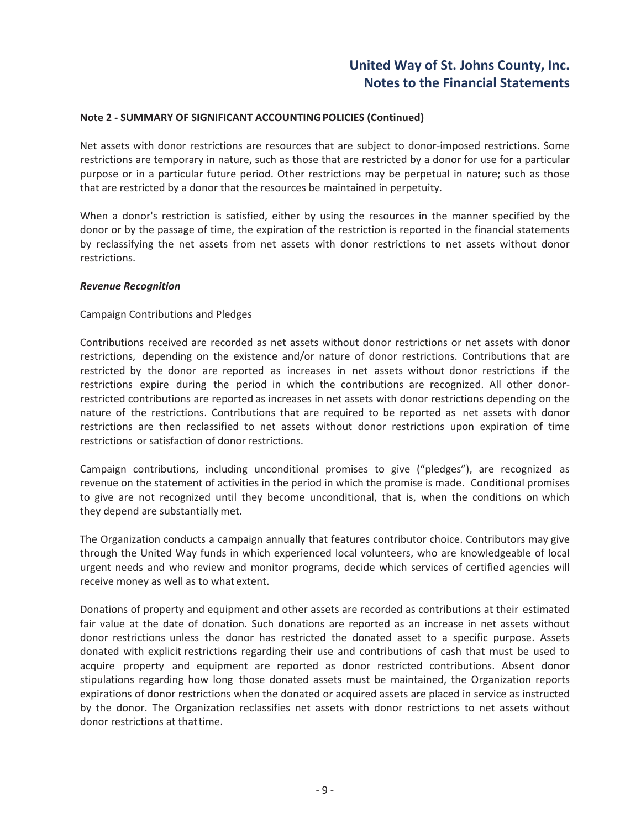#### **Note 2ͲSUMMARY OF SIGNIFICANT ACCOUNTINGPOLICIES (Continued)**

Net assets with donor restrictions are resources that are subject to donor-imposed restrictions. Some restrictions are temporary in nature, such as those that are restricted by a donor for use for a particular purpose or in a particular future period. Other restrictions may be perpetual in nature; such as those that are restricted by a donor that the resources be maintained in perpetuity.

When a donor's restriction is satisfied, either by using the resources in the manner specified by the donor or by the passage of time, the expiration of the restriction is reported in the financial statements by reclassifying the net assets from net assets with donor restrictions to net assets without donor restrictions.

#### *Revenue Recognition*

#### Campaign Contributions and Pledges

Contributions received are recorded as net assets without donor restrictions or net assets with donor restrictions, depending on the existence and/or nature of donor restrictions. Contributions that are restricted by the donor are reported as increases in net assets without donor restrictions if the restrictions expire during the period in which the contributions are recognized. All other donorrestricted contributions are reported as increases in net assets with donor restrictions depending on the nature of the restrictions. Contributions that are required to be reported as net assets with donor restrictions are then reclassified to net assets without donor restrictions upon expiration of time restrictions or satisfaction of donor restrictions.

Campaign contributions, including unconditional promises to give ("pledges"), are recognized as revenue on the statement of activities in the period in which the promise is made. Conditional promises to give are not recognized until they become unconditional, that is, when the conditions on which they depend are substantially met.

The Organization conducts a campaign annually that features contributor choice. Contributors may give through the United Way funds in which experienced local volunteers, who are knowledgeable of local urgent needs and who review and monitor programs, decide which services of certified agencies will receive money as well as to what extent.

Donations of property and equipment and other assets are recorded as contributions at their estimated fair value at the date of donation. Such donations are reported as an increase in net assets without donor restrictions unless the donor has restricted the donated asset to a specific purpose. Assets donated with explicit restrictions regarding their use and contributions of cash that must be used to acquire property and equipment are reported as donor restricted contributions. Absent donor stipulations regarding how long those donated assets must be maintained, the Organization reports expirations of donor restrictions when the donated or acquired assets are placed in service as instructed by the donor. The Organization reclassifies net assets with donor restrictions to net assets without donor restrictions at thattime.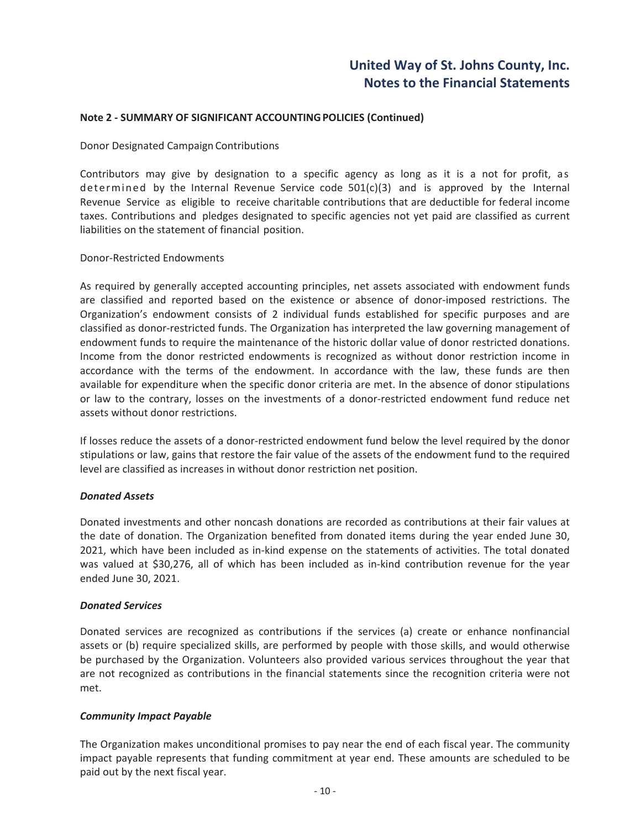#### **Note 2ͲSUMMARY OF SIGNIFICANT ACCOUNTINGPOLICIES (Continued)**

#### Donor Designated Campaign Contributions

Contributors may give by designation to a specific agency as long as it is a not for profit, as determined by the Internal Revenue Service code  $501(c)(3)$  and is approved by the Internal Revenue Service as eligible to receive charitable contributions that are deductible for federal income taxes. Contributions and pledges designated to specific agencies not yet paid are classified as current liabilities on the statement of financial position.

#### Donor-Restricted Endowments

As required by generally accepted accounting principles, net assets associated with endowment funds are classified and reported based on the existence or absence of donor-imposed restrictions. The Organization's endowment consists of 2 individual funds established for specific purposes and are classified as donor-restricted funds. The Organization has interpreted the law governing management of endowment funds to require the maintenance of the historic dollar value of donor restricted donations. Income from the donor restricted endowments is recognized as without donor restriction income in accordance with the terms of the endowment. In accordance with the law, these funds are then available for expenditure when the specific donor criteria are met. In the absence of donor stipulations or law to the contrary, losses on the investments of a donor-restricted endowment fund reduce net assets without donor restrictions.

If losses reduce the assets of a donor-restricted endowment fund below the level required by the donor stipulations or law, gains that restore the fair value of the assets of the endowment fund to the required level are classified as increases in without donor restriction net position.

#### *Donated Assets*

Donated investments and other noncash donations are recorded as contributions at their fair values at the date of donation. The Organization benefited from donated items during the year ended June 30, 2021, which have been included as in-kind expense on the statements of activities. The total donated was valued at \$30,276, all of which has been included as in-kind contribution revenue for the year ended June 30, 2021.

#### *Donated Services*

Donated services are recognized as contributions if the services (a) create or enhance nonfinancial assets or (b) require specialized skills, are performed by people with those skills, and would otherwise be purchased by the Organization. Volunteers also provided various services throughout the year that are not recognized as contributions in the financial statements since the recognition criteria were not met.

#### *Community Impact Payable*

The Organization makes unconditional promises to pay near the end of each fiscal year. The community impact payable represents that funding commitment at year end. These amounts are scheduled to be paid out by the next fiscal year.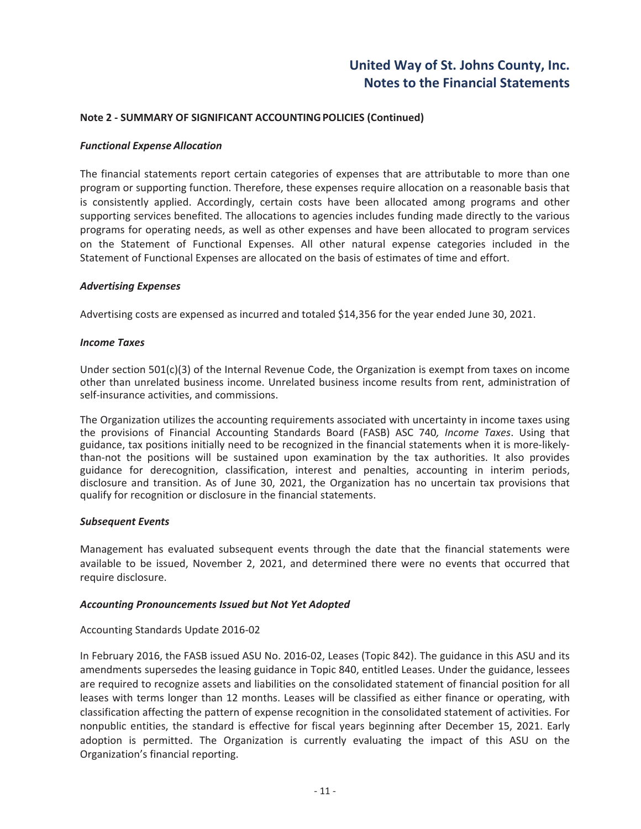#### **Note 2ͲSUMMARY OF SIGNIFICANT ACCOUNTINGPOLICIES (Continued)**

#### *Functional Expense Allocation*

The financial statements report certain categories of expenses that are attributable to more than one program or supporting function. Therefore, these expenses require allocation on a reasonable basis that is consistently applied. Accordingly, certain costs have been allocated among programs and other supporting services benefited. The allocations to agencies includes funding made directly to the various programs for operating needs, as well as other expenses and have been allocated to program services on the Statement of Functional Expenses. All other natural expense categories included in the Statement of Functional Expenses are allocated on the basis of estimates of time and effort.

#### *Advertising Expenses*

Advertising costs are expensed as incurred and totaled \$14,356 for the year ended June 30, 2021.

#### *Income Taxes*

Under section 501(c)(3) of the Internal Revenue Code, the Organization is exempt from taxes on income other than unrelated business income. Unrelated business income results from rent, administration of self-insurance activities, and commissions.

The Organization utilizes the accounting requirements associated with uncertainty in income taxes using the provisions of Financial Accounting Standards Board (FASB) ASC 740*, Income Taxes*. Using that guidance, tax positions initially need to be recognized in the financial statements when it is more-likelythan-not the positions will be sustained upon examination by the tax authorities. It also provides guidance for derecognition, classification, interest and penalties, accounting in interim periods, disclosure and transition. As of June 30, 2021, the Organization has no uncertain tax provisions that qualify for recognition or disclosure in the financial statements.

#### *Subsequent Events*

Management has evaluated subsequent events through the date that the financial statements were available to be issued, November 2, 2021, and determined there were no events that occurred that require disclosure.

#### *Accounting Pronouncements Issued but Not Yet Adopted*

#### Accounting Standards Update 2016-02

In February 2016, the FASB issued ASU No. 2016-02, Leases (Topic 842). The guidance in this ASU and its amendments supersedes the leasing guidance in Topic 840, entitled Leases. Under the guidance, lessees are required to recognize assets and liabilities on the consolidated statement of financial position for all leases with terms longer than 12 months. Leases will be classified as either finance or operating, with classification affecting the pattern of expense recognition in the consolidated statement of activities. For nonpublic entities, the standard is effective for fiscal years beginning after December 15, 2021. Early adoption is permitted. The Organization is currently evaluating the impact of this ASU on the Organization's financial reporting.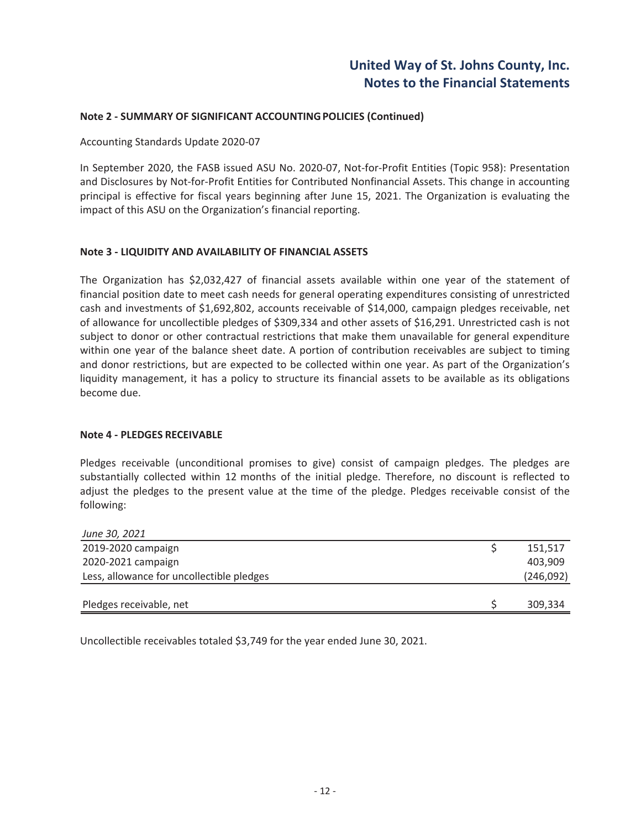#### **Note 2ͲSUMMARY OF SIGNIFICANT ACCOUNTINGPOLICIES (Continued)**

#### Accounting Standards Update 2020-07

In September 2020, the FASB issued ASU No. 2020-07, Not-for-Profit Entities (Topic 958): Presentation and Disclosures by Not-for-Profit Entities for Contributed Nonfinancial Assets. This change in accounting principal is effective for fiscal years beginning after June 15, 2021. The Organization is evaluating the impact of this ASU on the Organization's financial reporting.

#### **Note 3 - LIQUIDITY AND AVAILABILITY OF FINANCIAL ASSETS**

The Organization has \$2,032,427 of financial assets available within one year of the statement of financial position date to meet cash needs for general operating expenditures consisting of unrestricted cash and investments of \$1,692,802, accounts receivable of \$14,000, campaign pledges receivable, net of allowance for uncollectible pledges of \$309,334 and other assets of \$16,291. Unrestricted cash is not subject to donor or other contractual restrictions that make them unavailable for general expenditure within one year of the balance sheet date. A portion of contribution receivables are subject to timing and donor restrictions, but are expected to be collected within one year. As part of the Organization's liquidity management, it has a policy to structure its financial assets to be available as its obligations become due.

#### **Note 4 - PLEDGES RECEIVABLE**

Pledges receivable (unconditional promises to give) consist of campaign pledges. The pledges are substantially collected within 12 months of the initial pledge. Therefore, no discount is reflected to adjust the pledges to the present value at the time of the pledge. Pledges receivable consist of the following:

| June 30, 2021                             |           |
|-------------------------------------------|-----------|
| 2019-2020 campaign                        | 151,517   |
| 2020-2021 campaign                        | 403,909   |
| Less, allowance for uncollectible pledges | (246,092) |
|                                           |           |
| Pledges receivable, net                   | 309,334   |

Uncollectible receivables totaled \$3,749 for the year ended June 30, 2021.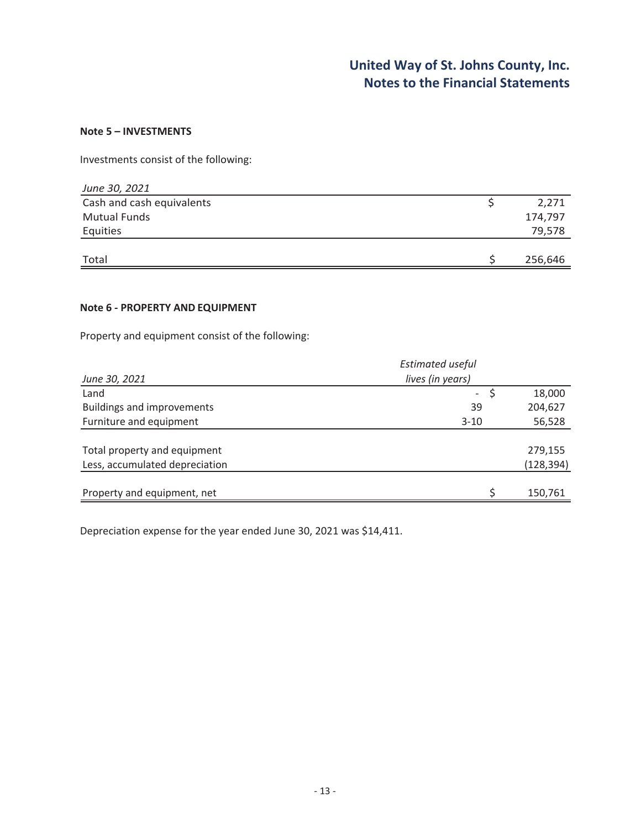#### **Note 5 – INVESTMENTS**

Investments consist of the following:

| June 30, 2021             |         |
|---------------------------|---------|
| Cash and cash equivalents | 2,271   |
| <b>Mutual Funds</b>       | 174,797 |
| Equities                  | 79,578  |
|                           |         |
| Total                     | 256,646 |

#### **Note 6 - PROPERTY AND EQUIPMENT**

Property and equipment consist of the following:

|                                   | <b>Estimated useful</b> |  |            |  |
|-----------------------------------|-------------------------|--|------------|--|
| June 30, 2021                     | lives (in years)        |  |            |  |
| Land                              | $\sim$                  |  | 18,000     |  |
| <b>Buildings and improvements</b> | 39                      |  | 204,627    |  |
| Furniture and equipment           | $3 - 10$                |  | 56,528     |  |
|                                   |                         |  |            |  |
| Total property and equipment      |                         |  | 279,155    |  |
| Less, accumulated depreciation    |                         |  | (128, 394) |  |
|                                   |                         |  |            |  |
| Property and equipment, net       |                         |  | 150,761    |  |

Depreciation expense for the year ended June 30, 2021 was \$14,411.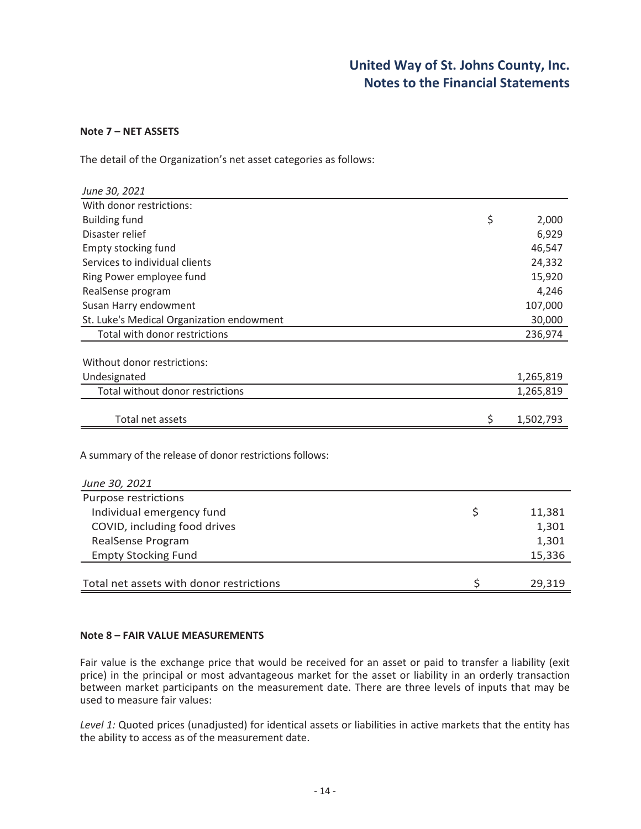#### **Note 7 – NET ASSETS**

The detail of the Organization's net asset categories as follows:

| June 30, 2021                                           |                 |
|---------------------------------------------------------|-----------------|
| With donor restrictions:                                |                 |
| <b>Building fund</b>                                    | \$<br>2,000     |
| Disaster relief                                         | 6,929           |
| Empty stocking fund                                     | 46,547          |
| Services to individual clients                          | 24,332          |
| Ring Power employee fund                                | 15,920          |
| RealSense program                                       | 4,246           |
| Susan Harry endowment                                   | 107,000         |
| St. Luke's Medical Organization endowment               | 30,000          |
| Total with donor restrictions                           | 236,974         |
|                                                         |                 |
| Without donor restrictions:                             |                 |
| Undesignated                                            | 1,265,819       |
| Total without donor restrictions                        | 1,265,819       |
| Total net assets                                        |                 |
|                                                         | \$<br>1,502,793 |
| A summary of the release of donor restrictions follows: |                 |
| June 30, 2021                                           |                 |
| Purpose restrictions                                    |                 |
| Individual emergency fund                               | \$<br>11,381    |
| COVID, including food drives                            | 1,301           |
| <b>RealSense Program</b>                                | 1,301           |
| <b>Empty Stocking Fund</b>                              | 15,336          |
|                                                         |                 |
| Total net assets with donor restrictions                | \$<br>29,319    |

#### **Note 8 – FAIR VALUE MEASUREMENTS**

Fair value is the exchange price that would be received for an asset or paid to transfer a liability (exit price) in the principal or most advantageous market for the asset or liability in an orderly transaction between market participants on the measurement date. There are three levels of inputs that may be used to measure fair values:

*Level 1:* Quoted prices (unadjusted) for identical assets or liabilities in active markets that the entity has the ability to access as of the measurement date.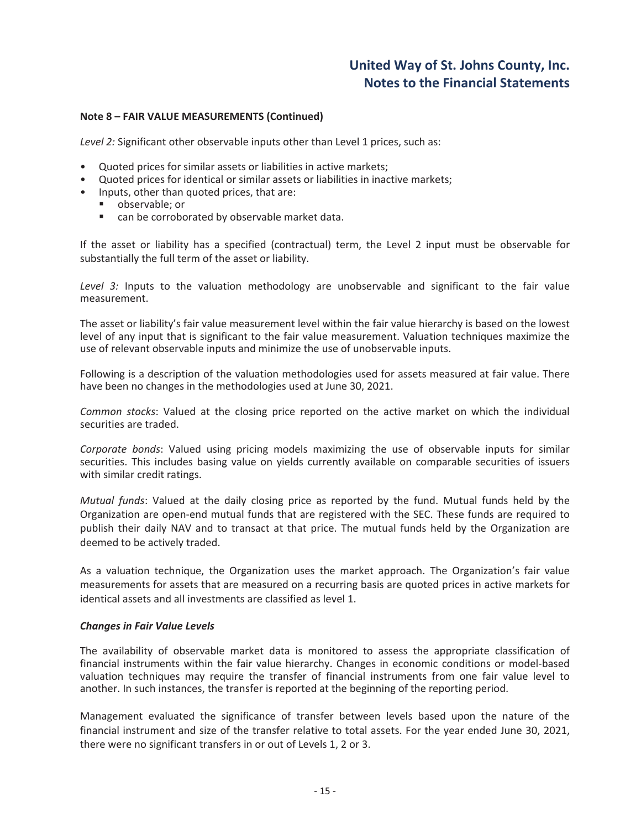#### **Note 8 – FAIR VALUE MEASUREMENTS (Continued)**

*Level 2:* Significant other observable inputs other than Level 1 prices, such as:

- Quoted prices for similar assets or liabilities in active markets;
- Quoted prices for identical or similar assets or liabilities in inactive markets;
- Inputs, other than quoted prices, that are:
	- observable; or
	- can be corroborated by observable market data.

If the asset or liability has a specified (contractual) term, the Level 2 input must be observable for substantially the full term of the asset or liability.

*Level 3:* Inputs to the valuation methodology are unobservable and significant to the fair value measurement.

The asset or liability's fair value measurement level within the fair value hierarchy is based on the lowest level of any input that is significant to the fair value measurement. Valuation techniques maximize the use of relevant observable inputs and minimize the use of unobservable inputs.

Following is a description of the valuation methodologies used for assets measured at fair value. There have been no changes in the methodologies used at June 30, 2021.

*Common stocks*: Valued at the closing price reported on the active market on which the individual securities are traded.

*Corporate bonds*: Valued using pricing models maximizing the use of observable inputs for similar securities. This includes basing value on yields currently available on comparable securities of issuers with similar credit ratings.

*Mutual funds*: Valued at the daily closing price as reported by the fund. Mutual funds held by the Organization are open-end mutual funds that are registered with the SEC. These funds are required to publish their daily NAV and to transact at that price. The mutual funds held by the Organization are deemed to be actively traded.

As a valuation technique, the Organization uses the market approach. The Organization's fair value measurements for assets that are measured on a recurring basis are quoted prices in active markets for identical assets and all investments are classified as level 1.

#### *Changes in Fair Value Levels*

The availability of observable market data is monitored to assess the appropriate classification of financial instruments within the fair value hierarchy. Changes in economic conditions or model-based valuation techniques may require the transfer of financial instruments from one fair value level to another. In such instances, the transfer is reported at the beginning of the reporting period.

Management evaluated the significance of transfer between levels based upon the nature of the financial instrument and size of the transfer relative to total assets. For the year ended June 30, 2021, there were no significant transfers in or out of Levels 1, 2 or 3.